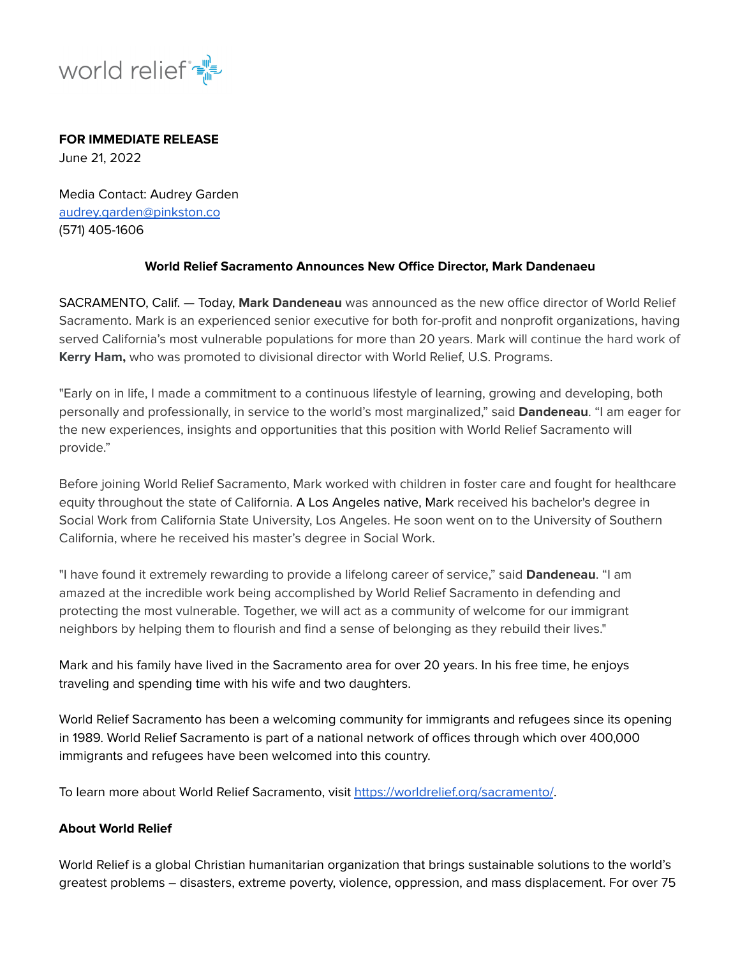

## **FOR IMMEDIATE RELEASE**

June 21, 2022

Media Contact: Audrey Garden audrey.garden@pinkston.co (571) 405-1606

## **World Relief Sacramento Announces New Office Director, Mark Dandenaeu**

SACRAMENTO, Calif. — Today, **Mark Dandeneau** was announced as the new office director of World Relief Sacramento. Mark is an experienced senior executive for both for-profit and nonprofit organizations, having served California's most vulnerable populations for more than 20 years. Mark will continue the hard work of **Kerry Ham,** who was promoted to divisional director with World Relief, U.S. Programs.

"Early on in life, I made a commitment to a continuous lifestyle of learning, growing and developing, both personally and professionally, in service to the world's most marginalized," said **Dandeneau**. "I am eager for the new experiences, insights and opportunities that this position with World Relief Sacramento will provide."

Before joining World Relief Sacramento, Mark worked with children in foster care and fought for healthcare equity throughout the state of California. A Los Angeles native, Mark received his bachelor's degree in Social Work from California State University, Los Angeles. He soon went on to the University of Southern California, where he received his master's degree in Social Work.

"I have found it extremely rewarding to provide a lifelong career of service," said **Dandeneau**. "I am amazed at the incredible work being accomplished by World Relief Sacramento in defending and protecting the most vulnerable. Together, we will act as a community of welcome for our immigrant neighbors by helping them to flourish and find a sense of belonging as they rebuild their lives."

Mark and his family have lived in the Sacramento area for over 20 years. In his free time, he enjoys traveling and spending time with his wife and two daughters.

World Relief Sacramento has been a welcoming community for immigrants and refugees since its opening in 1989. World Relief Sacramento is part of a national network of offices through which over 400,000 immigrants and refugees have been welcomed into this country.

To learn more about World Relief Sacramento, visit <https://worldrelief.org/sacramento/>.

## **About World Relief**

World Relief is a global Christian humanitarian organization that brings sustainable solutions to the world's greatest problems – disasters, extreme poverty, violence, oppression, and mass displacement. For over 75